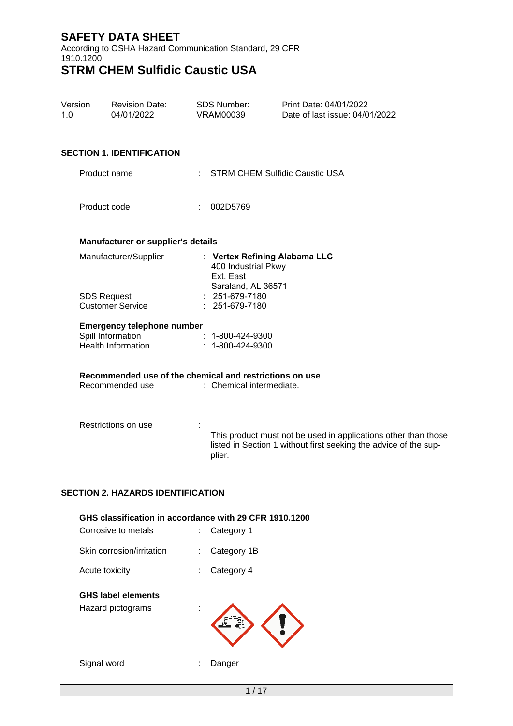According to OSHA Hazard Communication Standard, 29 CFR 1910.1200 **STRM CHEM Sulfidic Caustic USA**

## Version 1.0 Revision Date: 04/01/2022 SDS Number: VRAM00039 Print Date: 04/01/2022 Date of last issue: 04/01/2022 **SECTION 1. IDENTIFICATION** Product name : STRM CHEM Sulfidic Caustic USA Product code : 002D5769 **Manufacturer or supplier's details** Manufacturer/Supplier : **Vertex Refining Alabama LLC** 400 Industrial Pkwy Ext. East Saraland, AL 36571 SDS Request Customer Service : 251-679-7180 : 251-679-7180 **Emergency telephone number** Spill Information Health Information : 1-800-424-9300 : 1-800-424-9300 **Recommended use of the chemical and restrictions on use** : Chemical intermediate. Restrictions on use : This product must not be used in applications other than those listed in Section 1 without first seeking the advice of the supplier.

## **SECTION 2. HAZARDS IDENTIFICATION**

| Corrosive to metals                            | GHS classification in accordance with 29 CFR 1910.1200<br>Category 1 |
|------------------------------------------------|----------------------------------------------------------------------|
| Skin corrosion/irritation                      | Category 1B                                                          |
| Acute toxicity                                 | Category 4                                                           |
| <b>GHS label elements</b><br>Hazard pictograms |                                                                      |
| Signal word                                    | Danger                                                               |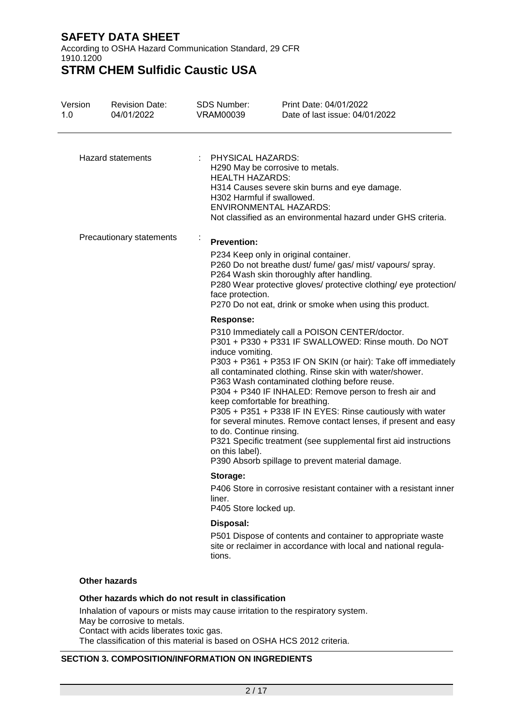According to OSHA Hazard Communication Standard, 29 CFR 1910.1200

**STRM CHEM Sulfidic Caustic USA**

| Version<br>1.0 | <b>Revision Date:</b><br>04/01/2022                                                                                           | <b>SDS Number:</b><br><b>VRAM00039</b>                                              | Print Date: 04/01/2022<br>Date of last issue: 04/01/2022                                                                                                                                                                                                                                                                                                                                                                                                                                                                                                                                                                                  |
|----------------|-------------------------------------------------------------------------------------------------------------------------------|-------------------------------------------------------------------------------------|-------------------------------------------------------------------------------------------------------------------------------------------------------------------------------------------------------------------------------------------------------------------------------------------------------------------------------------------------------------------------------------------------------------------------------------------------------------------------------------------------------------------------------------------------------------------------------------------------------------------------------------------|
|                | Hazard statements                                                                                                             | : PHYSICAL HAZARDS:<br><b>HEALTH HAZARDS:</b><br>H302 Harmful if swallowed.         | H290 May be corrosive to metals.<br>H314 Causes severe skin burns and eye damage.<br><b>ENVIRONMENTAL HAZARDS:</b><br>Not classified as an environmental hazard under GHS criteria.                                                                                                                                                                                                                                                                                                                                                                                                                                                       |
|                | Precautionary statements                                                                                                      | <b>Prevention:</b><br>face protection.                                              | P234 Keep only in original container.<br>P260 Do not breathe dust/ fume/ gas/ mist/ vapours/ spray.<br>P264 Wash skin thoroughly after handling.<br>P280 Wear protective gloves/ protective clothing/ eye protection/<br>P270 Do not eat, drink or smoke when using this product.                                                                                                                                                                                                                                                                                                                                                         |
|                |                                                                                                                               | <b>Response:</b><br>induce vomiting.<br>to do. Continue rinsing.<br>on this label). | P310 Immediately call a POISON CENTER/doctor.<br>P301 + P330 + P331 IF SWALLOWED: Rinse mouth. Do NOT<br>P303 + P361 + P353 IF ON SKIN (or hair): Take off immediately<br>all contaminated clothing. Rinse skin with water/shower.<br>P363 Wash contaminated clothing before reuse.<br>P304 + P340 IF INHALED: Remove person to fresh air and<br>keep comfortable for breathing.<br>P305 + P351 + P338 IF IN EYES: Rinse cautiously with water<br>for several minutes. Remove contact lenses, if present and easy<br>P321 Specific treatment (see supplemental first aid instructions<br>P390 Absorb spillage to prevent material damage. |
|                |                                                                                                                               | Storage:<br>liner.<br>P405 Store locked up.                                         | P406 Store in corrosive resistant container with a resistant inner                                                                                                                                                                                                                                                                                                                                                                                                                                                                                                                                                                        |
|                |                                                                                                                               | Disposal:<br>tions.                                                                 | P501 Dispose of contents and container to appropriate waste<br>site or reclaimer in accordance with local and national regula-                                                                                                                                                                                                                                                                                                                                                                                                                                                                                                            |
|                | <b>Other hazards</b>                                                                                                          |                                                                                     |                                                                                                                                                                                                                                                                                                                                                                                                                                                                                                                                                                                                                                           |
|                | Other hazards which do not result in classification<br>May be corrosive to metals.<br>Contact with acids liberates toxic gas. |                                                                                     | Inhalation of vapours or mists may cause irritation to the respiratory system.                                                                                                                                                                                                                                                                                                                                                                                                                                                                                                                                                            |

The classification of this material is based on OSHA HCS 2012 criteria.

## **SECTION 3. COMPOSITION/INFORMATION ON INGREDIENTS**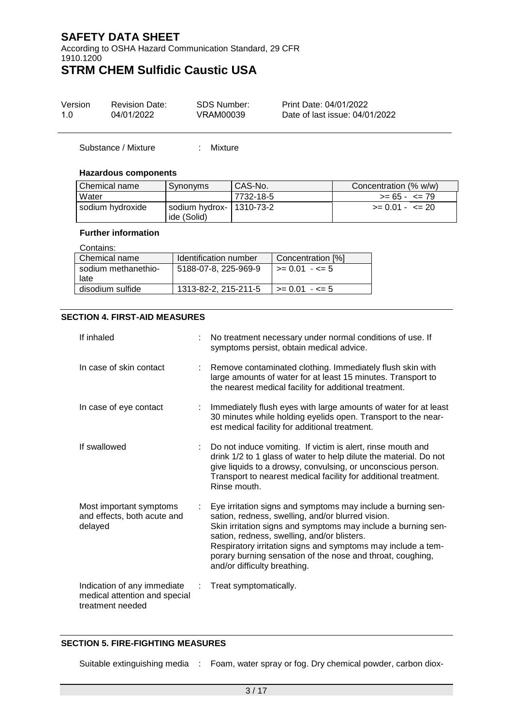According to OSHA Hazard Communication Standard, 29 CFR 1910.1200

# **STRM CHEM Sulfidic Caustic USA**

| Version | <b>Revision Date:</b> | SDS Number: | Print Date: 04/01/2022         |
|---------|-----------------------|-------------|--------------------------------|
| 1 O     | 04/01/2022            | VRAM00039   | Date of last issue: 04/01/2022 |

Substance / Mixture : Mixture

#### **Hazardous components**

| Chemical name    | Synonyms                                    | CAS-No.   | Concentration (% w/w) |
|------------------|---------------------------------------------|-----------|-----------------------|
| <b>Water</b>     |                                             | 7732-18-5 | $>= 65 - 5 = 79$      |
| sodium hydroxide | I sodium hydrox-   1310-73-2<br>ide (Solid) |           | $>= 0.01 - \le 20$    |

## **Further information**

| ----------          |                       |                          |
|---------------------|-----------------------|--------------------------|
| Chemical name       | Identification number | Concentration [%]        |
| sodium methanethio- | 5188-07-8, 225-969-9  | $\ge$ = 0.01 - <= 5      |
| late                |                       |                          |
| disodium sulfide    | 1313-82-2, 215-211-5  | $\ge$ = 0.01 - $\le$ = 5 |
|                     |                       |                          |

## **SECTION 4. FIRST-AID MEASURES**

| If inhaled                                                                       |   | No treatment necessary under normal conditions of use. If<br>symptoms persist, obtain medical advice.                                                                                                                                                                                                                                                                                           |
|----------------------------------------------------------------------------------|---|-------------------------------------------------------------------------------------------------------------------------------------------------------------------------------------------------------------------------------------------------------------------------------------------------------------------------------------------------------------------------------------------------|
| In case of skin contact                                                          |   | Remove contaminated clothing. Immediately flush skin with<br>large amounts of water for at least 15 minutes. Transport to<br>the nearest medical facility for additional treatment.                                                                                                                                                                                                             |
| In case of eye contact                                                           |   | Immediately flush eyes with large amounts of water for at least<br>30 minutes while holding eyelids open. Transport to the near-<br>est medical facility for additional treatment.                                                                                                                                                                                                              |
| If swallowed                                                                     |   | Do not induce vomiting. If victim is alert, rinse mouth and<br>drink 1/2 to 1 glass of water to help dilute the material. Do not<br>give liquids to a drowsy, convulsing, or unconscious person.<br>Transport to nearest medical facility for additional treatment.<br>Rinse mouth.                                                                                                             |
| Most important symptoms<br>and effects, both acute and<br>delayed                | ÷ | Eye irritation signs and symptoms may include a burning sen-<br>sation, redness, swelling, and/or blurred vision.<br>Skin irritation signs and symptoms may include a burning sen-<br>sation, redness, swelling, and/or blisters.<br>Respiratory irritation signs and symptoms may include a tem-<br>porary burning sensation of the nose and throat, coughing,<br>and/or difficulty breathing. |
| Indication of any immediate<br>medical attention and special<br>treatment needed |   | Treat symptomatically.                                                                                                                                                                                                                                                                                                                                                                          |

## **SECTION 5. FIRE-FIGHTING MEASURES**

Suitable extinguishing media : Foam, water spray or fog. Dry chemical powder, carbon diox-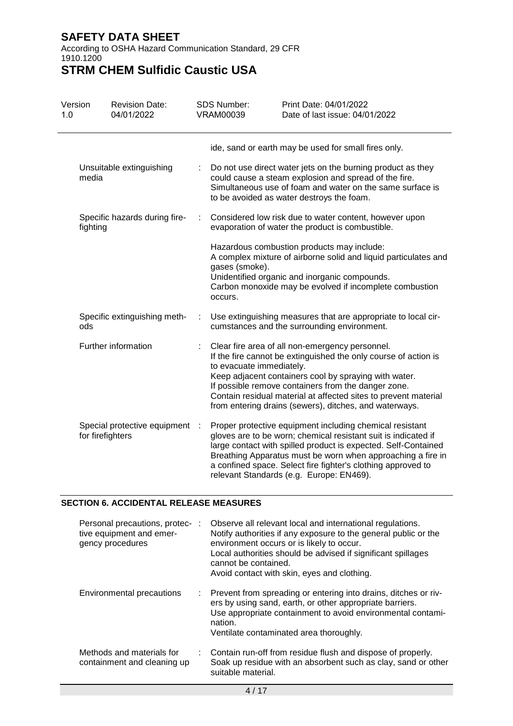According to OSHA Hazard Communication Standard, 29 CFR 1910.1200

**STRM CHEM Sulfidic Caustic USA**

| Version<br>1.0 | <b>Revision Date:</b><br>04/01/2022              |     | <b>SDS Number:</b><br><b>VRAM00039</b> | Print Date: 04/01/2022<br>Date of last issue: 04/01/2022                                                                                                                                                                                                                                                                                                                |
|----------------|--------------------------------------------------|-----|----------------------------------------|-------------------------------------------------------------------------------------------------------------------------------------------------------------------------------------------------------------------------------------------------------------------------------------------------------------------------------------------------------------------------|
|                |                                                  |     |                                        | ide, sand or earth may be used for small fires only.                                                                                                                                                                                                                                                                                                                    |
| media          | Unsuitable extinguishing                         | ÷   |                                        | Do not use direct water jets on the burning product as they<br>could cause a steam explosion and spread of the fire.<br>Simultaneous use of foam and water on the same surface is<br>to be avoided as water destroys the foam.                                                                                                                                          |
| fighting       | Specific hazards during fire-                    | t   |                                        | Considered low risk due to water content, however upon<br>evaporation of water the product is combustible.                                                                                                                                                                                                                                                              |
|                |                                                  |     | gases (smoke).<br>occurs.              | Hazardous combustion products may include:<br>A complex mixture of airborne solid and liquid particulates and<br>Unidentified organic and inorganic compounds.<br>Carbon monoxide may be evolved if incomplete combustion                                                                                                                                               |
| ods            | Specific extinguishing meth-                     |     |                                        | Use extinguishing measures that are appropriate to local cir-<br>cumstances and the surrounding environment.                                                                                                                                                                                                                                                            |
|                | Further information                              |     | to evacuate immediately.               | Clear fire area of all non-emergency personnel.<br>If the fire cannot be extinguished the only course of action is<br>Keep adjacent containers cool by spraying with water.<br>If possible remove containers from the danger zone.<br>Contain residual material at affected sites to prevent material<br>from entering drains (sewers), ditches, and waterways.         |
|                | Special protective equipment<br>for firefighters | - 1 |                                        | Proper protective equipment including chemical resistant<br>gloves are to be worn; chemical resistant suit is indicated if<br>large contact with spilled product is expected. Self-Contained<br>Breathing Apparatus must be worn when approaching a fire in<br>a confined space. Select fire fighter's clothing approved to<br>relevant Standards (e.g. Europe: EN469). |

## **SECTION 6. ACCIDENTAL RELEASE MEASURES**

| Personal precautions, protec-:<br>tive equipment and emer-<br>gency procedures | Observe all relevant local and international regulations.<br>Notify authorities if any exposure to the general public or the<br>environment occurs or is likely to occur.<br>Local authorities should be advised if significant spillages<br>cannot be contained.<br>Avoid contact with skin, eyes and clothing. |
|--------------------------------------------------------------------------------|------------------------------------------------------------------------------------------------------------------------------------------------------------------------------------------------------------------------------------------------------------------------------------------------------------------|
| Environmental precautions                                                      | : Prevent from spreading or entering into drains, ditches or riv-<br>ers by using sand, earth, or other appropriate barriers.<br>Use appropriate containment to avoid environmental contami-<br>nation.<br>Ventilate contaminated area thoroughly.                                                               |
| Methods and materials for<br>containment and cleaning up                       | : Contain run-off from residue flush and dispose of properly.<br>Soak up residue with an absorbent such as clay, sand or other<br>suitable material.                                                                                                                                                             |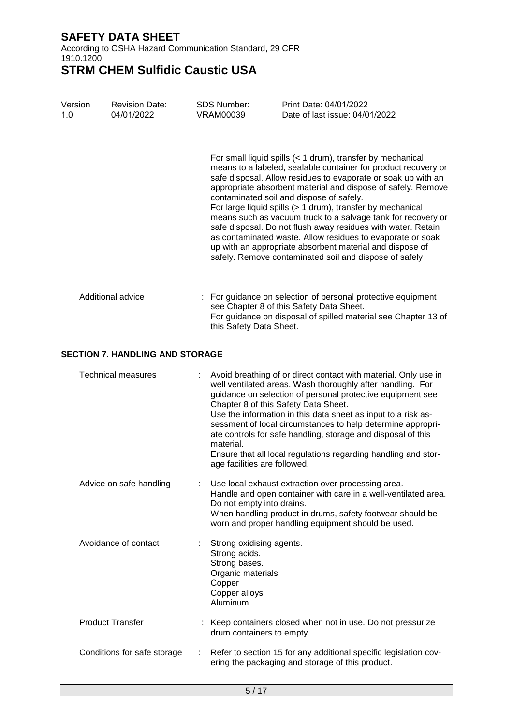According to OSHA Hazard Communication Standard, 29 CFR 1910.1200

| Version<br>1.0 | <b>Revision Date:</b><br>04/01/2022    | <b>SDS Number:</b><br><b>VRAM00039</b>                                                                                 | Print Date: 04/01/2022<br>Date of last issue: 04/01/2022                                                                                                                                                                                                                                                                                                                                                                                                                                                                                                                                                                                                                                    |
|----------------|----------------------------------------|------------------------------------------------------------------------------------------------------------------------|---------------------------------------------------------------------------------------------------------------------------------------------------------------------------------------------------------------------------------------------------------------------------------------------------------------------------------------------------------------------------------------------------------------------------------------------------------------------------------------------------------------------------------------------------------------------------------------------------------------------------------------------------------------------------------------------|
|                |                                        |                                                                                                                        | For small liquid spills (< 1 drum), transfer by mechanical<br>means to a labeled, sealable container for product recovery or<br>safe disposal. Allow residues to evaporate or soak up with an<br>appropriate absorbent material and dispose of safely. Remove<br>contaminated soil and dispose of safely.<br>For large liquid spills (> 1 drum), transfer by mechanical<br>means such as vacuum truck to a salvage tank for recovery or<br>safe disposal. Do not flush away residues with water. Retain<br>as contaminated waste. Allow residues to evaporate or soak<br>up with an appropriate absorbent material and dispose of<br>safely. Remove contaminated soil and dispose of safely |
|                | Additional advice                      | this Safety Data Sheet.                                                                                                | : For guidance on selection of personal protective equipment<br>see Chapter 8 of this Safety Data Sheet.<br>For guidance on disposal of spilled material see Chapter 13 of                                                                                                                                                                                                                                                                                                                                                                                                                                                                                                                  |
|                | <b>SECTION 7. HANDLING AND STORAGE</b> |                                                                                                                        |                                                                                                                                                                                                                                                                                                                                                                                                                                                                                                                                                                                                                                                                                             |
|                | <b>Technical measures</b>              | material.<br>age facilities are followed.                                                                              | Avoid breathing of or direct contact with material. Only use in<br>well ventilated areas. Wash thoroughly after handling. For<br>guidance on selection of personal protective equipment see<br>Chapter 8 of this Safety Data Sheet.<br>Use the information in this data sheet as input to a risk as-<br>sessment of local circumstances to help determine appropri-<br>ate controls for safe handling, storage and disposal of this<br>Ensure that all local regulations regarding handling and stor-                                                                                                                                                                                       |
|                | Advice on safe handling                | Do not empty into drains.                                                                                              | Use local exhaust extraction over processing area.<br>Handle and open container with care in a well-ventilated area.<br>When handling product in drums, safety footwear should be<br>worn and proper handling equipment should be used.                                                                                                                                                                                                                                                                                                                                                                                                                                                     |
|                | Avoidance of contact                   | Strong oxidising agents.<br>Strong acids.<br>Strong bases.<br>Organic materials<br>Copper<br>Copper alloys<br>Aluminum |                                                                                                                                                                                                                                                                                                                                                                                                                                                                                                                                                                                                                                                                                             |
|                | <b>Product Transfer</b>                | drum containers to empty.                                                                                              | : Keep containers closed when not in use. Do not pressurize                                                                                                                                                                                                                                                                                                                                                                                                                                                                                                                                                                                                                                 |
|                | Conditions for safe storage            |                                                                                                                        | Refer to section 15 for any additional specific legislation cov-<br>ering the packaging and storage of this product.                                                                                                                                                                                                                                                                                                                                                                                                                                                                                                                                                                        |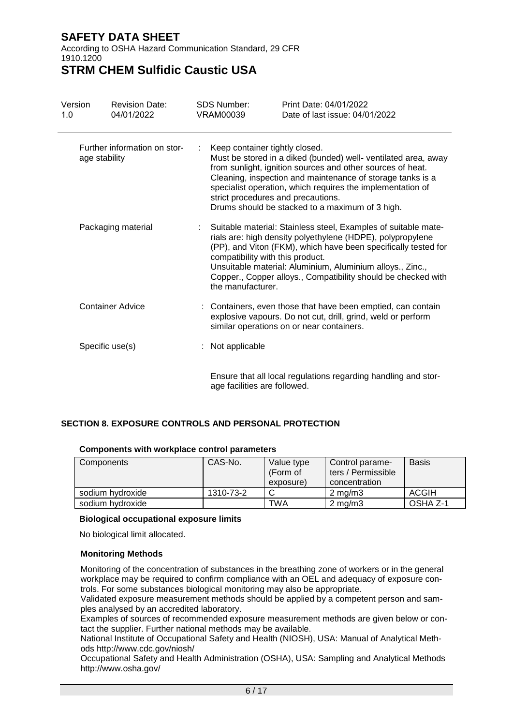According to OSHA Hazard Communication Standard, 29 CFR 1910.1200

# **STRM CHEM Sulfidic Caustic USA**

| Version<br>1.0 | <b>Revision Date:</b><br>04/01/2022           | <b>SDS Number:</b><br>VRAM00039 | Print Date: 04/01/2022<br>Date of last issue: 04/01/2022                                                                                                                                                                                                                                                                                                                            |
|----------------|-----------------------------------------------|---------------------------------|-------------------------------------------------------------------------------------------------------------------------------------------------------------------------------------------------------------------------------------------------------------------------------------------------------------------------------------------------------------------------------------|
|                | Further information on stor-<br>age stability |                                 | Keep container tightly closed.<br>Must be stored in a diked (bunded) well- ventilated area, away<br>from sunlight, ignition sources and other sources of heat.<br>Cleaning, inspection and maintenance of storage tanks is a<br>specialist operation, which requires the implementation of<br>strict procedures and precautions.<br>Drums should be stacked to a maximum of 3 high. |
|                | Packaging material                            | the manufacturer.               | Suitable material: Stainless steel, Examples of suitable mate-<br>rials are: high density polyethylene (HDPE), polypropylene<br>(PP), and Viton (FKM), which have been specifically tested for<br>compatibility with this product.<br>Unsuitable material: Aluminium, Aluminium alloys., Zinc.,<br>Copper., Copper alloys., Compatibility should be checked with                    |
|                | <b>Container Advice</b>                       |                                 | : Containers, even those that have been emptied, can contain<br>explosive vapours. Do not cut, drill, grind, weld or perform<br>similar operations on or near containers.                                                                                                                                                                                                           |
|                | Specific use(s)                               | : Not applicable                |                                                                                                                                                                                                                                                                                                                                                                                     |
|                |                                               |                                 | Ensure that all local regulations regarding handling and stor-                                                                                                                                                                                                                                                                                                                      |

## **SECTION 8. EXPOSURE CONTROLS AND PERSONAL PROTECTION**

| Components       | CAS-No.   | Value type<br>(Form of | Control parame-<br>ters / Permissible | <b>Basis</b> |  |  |  |
|------------------|-----------|------------------------|---------------------------------------|--------------|--|--|--|
|                  |           | exposure)              | concentration                         |              |  |  |  |
| sodium hydroxide | 1310-73-2 |                        | $2 \text{ ma/m}$ 3                    | <b>ACGIH</b> |  |  |  |
| sodium hydroxide |           | <b>TWA</b>             | $2 \text{ ma/m}$ 3                    | OSHA Z-1     |  |  |  |

age facilities are followed.

## **Components with workplace control parameters**

### **Biological occupational exposure limits**

No biological limit allocated.

### **Monitoring Methods**

Monitoring of the concentration of substances in the breathing zone of workers or in the general workplace may be required to confirm compliance with an OEL and adequacy of exposure controls. For some substances biological monitoring may also be appropriate.

Validated exposure measurement methods should be applied by a competent person and samples analysed by an accredited laboratory.

Examples of sources of recommended exposure measurement methods are given below or contact the supplier. Further national methods may be available.

National Institute of Occupational Safety and Health (NIOSH), USA: Manual of Analytical Methods http://www.cdc.gov/niosh/

Occupational Safety and Health Administration (OSHA), USA: Sampling and Analytical Methods http://www.osha.gov/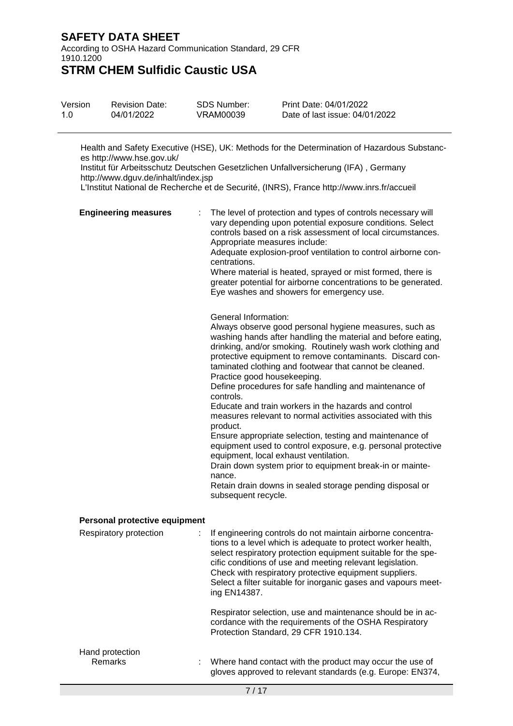According to OSHA Hazard Communication Standard, 29 CFR 1910.1200

# **STRM CHEM Sulfidic Caustic USA**

| Version | <b>Revision Date:</b> | SDS Number: | Print Date: 04/01/2022         |
|---------|-----------------------|-------------|--------------------------------|
| 1.0     | 04/01/2022            | VRAM00039   | Date of last issue: 04/01/2022 |

Health and Safety Executive (HSE), UK: Methods for the Determination of Hazardous Substances http://www.hse.gov.uk/

Institut für Arbeitsschutz Deutschen Gesetzlichen Unfallversicherung (IFA) , Germany http://www.dguv.de/inhalt/index.jsp

L'Institut National de Recherche et de Securité, (INRS), France http://www.inrs.fr/accueil

| <b>Engineering measures</b>   | The level of protection and types of controls necessary will<br>vary depending upon potential exposure conditions. Select<br>controls based on a risk assessment of local circumstances.<br>Appropriate measures include:<br>Adequate explosion-proof ventilation to control airborne con-<br>centrations.<br>Where material is heated, sprayed or mist formed, there is<br>greater potential for airborne concentrations to be generated.<br>Eye washes and showers for emergency use.                                                                                                                                                                                                                                                                                                                                                                                                                     |
|-------------------------------|-------------------------------------------------------------------------------------------------------------------------------------------------------------------------------------------------------------------------------------------------------------------------------------------------------------------------------------------------------------------------------------------------------------------------------------------------------------------------------------------------------------------------------------------------------------------------------------------------------------------------------------------------------------------------------------------------------------------------------------------------------------------------------------------------------------------------------------------------------------------------------------------------------------|
|                               | General Information:<br>Always observe good personal hygiene measures, such as<br>washing hands after handling the material and before eating,<br>drinking, and/or smoking. Routinely wash work clothing and<br>protective equipment to remove contaminants. Discard con-<br>taminated clothing and footwear that cannot be cleaned.<br>Practice good housekeeping.<br>Define procedures for safe handling and maintenance of<br>controls.<br>Educate and train workers in the hazards and control<br>measures relevant to normal activities associated with this<br>product.<br>Ensure appropriate selection, testing and maintenance of<br>equipment used to control exposure, e.g. personal protective<br>equipment, local exhaust ventilation.<br>Drain down system prior to equipment break-in or mainte-<br>nance.<br>Retain drain downs in sealed storage pending disposal or<br>subsequent recycle. |
| Personal protective equipment |                                                                                                                                                                                                                                                                                                                                                                                                                                                                                                                                                                                                                                                                                                                                                                                                                                                                                                             |
| Respiratory protection        | If engineering controls do not maintain airborne concentra-<br>tions to a level which is adequate to protect worker health,<br>select respiratory protection equipment suitable for the spe-<br>cific conditions of use and meeting relevant legislation.<br>Check with respiratory protective equipment suppliers.<br>Select a filter suitable for inorganic gases and vapours meet-<br>ing EN14387.                                                                                                                                                                                                                                                                                                                                                                                                                                                                                                       |
|                               | Respirator selection, use and maintenance should be in ac-<br>cordance with the requirements of the OSHA Respiratory<br>Protection Standard, 29 CFR 1910.134.                                                                                                                                                                                                                                                                                                                                                                                                                                                                                                                                                                                                                                                                                                                                               |
| Hand protection<br>Remarks    | Where hand contact with the product may occur the use of<br>gloves approved to relevant standards (e.g. Europe: EN374,                                                                                                                                                                                                                                                                                                                                                                                                                                                                                                                                                                                                                                                                                                                                                                                      |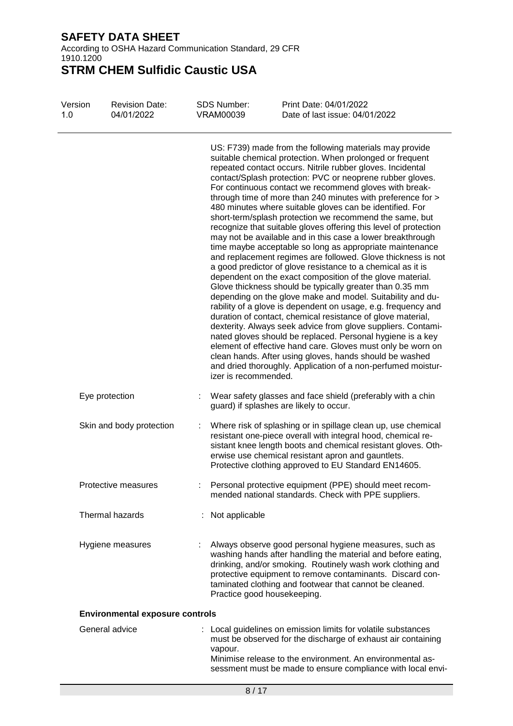According to OSHA Hazard Communication Standard, 29 CFR 1910.1200

| Version<br>1.0 | <b>Revision Date:</b><br>04/01/2022    | <b>SDS Number:</b><br><b>VRAM00039</b> | Print Date: 04/01/2022<br>Date of last issue: 04/01/2022                                                                                                                                                                                                                                                                                                                                                                                                                                                                                                                                                                                                                                                                                                                                                                                                                                                                                                                                                                                                                                                                                                                                                                                                                                                                                                                                                                                                                   |
|----------------|----------------------------------------|----------------------------------------|----------------------------------------------------------------------------------------------------------------------------------------------------------------------------------------------------------------------------------------------------------------------------------------------------------------------------------------------------------------------------------------------------------------------------------------------------------------------------------------------------------------------------------------------------------------------------------------------------------------------------------------------------------------------------------------------------------------------------------------------------------------------------------------------------------------------------------------------------------------------------------------------------------------------------------------------------------------------------------------------------------------------------------------------------------------------------------------------------------------------------------------------------------------------------------------------------------------------------------------------------------------------------------------------------------------------------------------------------------------------------------------------------------------------------------------------------------------------------|
|                |                                        | izer is recommended.                   | US: F739) made from the following materials may provide<br>suitable chemical protection. When prolonged or frequent<br>repeated contact occurs. Nitrile rubber gloves. Incidental<br>contact/Splash protection: PVC or neoprene rubber gloves.<br>For continuous contact we recommend gloves with break-<br>through time of more than 240 minutes with preference for ><br>480 minutes where suitable gloves can be identified. For<br>short-term/splash protection we recommend the same, but<br>recognize that suitable gloves offering this level of protection<br>may not be available and in this case a lower breakthrough<br>time maybe acceptable so long as appropriate maintenance<br>and replacement regimes are followed. Glove thickness is not<br>a good predictor of glove resistance to a chemical as it is<br>dependent on the exact composition of the glove material.<br>Glove thickness should be typically greater than 0.35 mm<br>depending on the glove make and model. Suitability and du-<br>rability of a glove is dependent on usage, e.g. frequency and<br>duration of contact, chemical resistance of glove material,<br>dexterity. Always seek advice from glove suppliers. Contami-<br>nated gloves should be replaced. Personal hygiene is a key<br>element of effective hand care. Gloves must only be worn on<br>clean hands. After using gloves, hands should be washed<br>and dried thoroughly. Application of a non-perfumed moistur- |
|                | Eye protection                         |                                        | Wear safety glasses and face shield (preferably with a chin<br>guard) if splashes are likely to occur.                                                                                                                                                                                                                                                                                                                                                                                                                                                                                                                                                                                                                                                                                                                                                                                                                                                                                                                                                                                                                                                                                                                                                                                                                                                                                                                                                                     |
|                | Skin and body protection               |                                        | Where risk of splashing or in spillage clean up, use chemical<br>resistant one-piece overall with integral hood, chemical re-<br>sistant knee length boots and chemical resistant gloves. Oth-<br>erwise use chemical resistant apron and gauntlets.<br>Protective clothing approved to EU Standard EN14605.                                                                                                                                                                                                                                                                                                                                                                                                                                                                                                                                                                                                                                                                                                                                                                                                                                                                                                                                                                                                                                                                                                                                                               |
|                | Protective measures                    |                                        | Personal protective equipment (PPE) should meet recom-<br>mended national standards. Check with PPE suppliers.                                                                                                                                                                                                                                                                                                                                                                                                                                                                                                                                                                                                                                                                                                                                                                                                                                                                                                                                                                                                                                                                                                                                                                                                                                                                                                                                                             |
|                | Thermal hazards                        | Not applicable                         |                                                                                                                                                                                                                                                                                                                                                                                                                                                                                                                                                                                                                                                                                                                                                                                                                                                                                                                                                                                                                                                                                                                                                                                                                                                                                                                                                                                                                                                                            |
|                | Hygiene measures                       |                                        | Always observe good personal hygiene measures, such as<br>washing hands after handling the material and before eating,<br>drinking, and/or smoking. Routinely wash work clothing and<br>protective equipment to remove contaminants. Discard con-<br>taminated clothing and footwear that cannot be cleaned.<br>Practice good housekeeping.                                                                                                                                                                                                                                                                                                                                                                                                                                                                                                                                                                                                                                                                                                                                                                                                                                                                                                                                                                                                                                                                                                                                |
|                | <b>Environmental exposure controls</b> |                                        |                                                                                                                                                                                                                                                                                                                                                                                                                                                                                                                                                                                                                                                                                                                                                                                                                                                                                                                                                                                                                                                                                                                                                                                                                                                                                                                                                                                                                                                                            |
|                | General advice                         | vapour.                                | : Local guidelines on emission limits for volatile substances<br>must be observed for the discharge of exhaust air containing<br>Minimise release to the environment. An environmental as-<br>sessment must be made to ensure compliance with local envi-                                                                                                                                                                                                                                                                                                                                                                                                                                                                                                                                                                                                                                                                                                                                                                                                                                                                                                                                                                                                                                                                                                                                                                                                                  |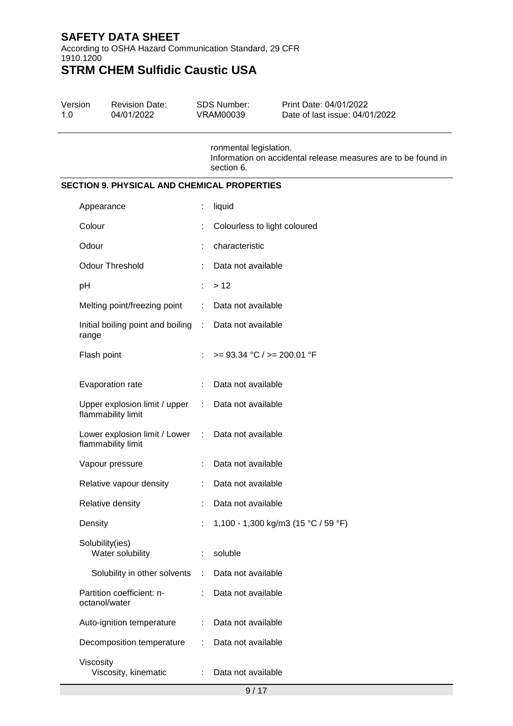According to OSHA Hazard Communication Standard, 29 CFR 1910.1200

# **STRM CHEM Sulfidic Caustic USA**

| Version | <b>Revision Date:</b> | SDS Number: | Print Date: 04/01/2022         |  |
|---------|-----------------------|-------------|--------------------------------|--|
| 1 O     | 04/01/2022            | VRAM00039   | Date of last issue: 04/01/2022 |  |

ronmental legislation. Information on accidental release measures are to be found in section 6.

## **SECTION 9. PHYSICAL AND CHEMICAL PROPERTIES**

| Appearance                                                               | t              | liquid                              |
|--------------------------------------------------------------------------|----------------|-------------------------------------|
| Colour                                                                   |                | Colourless to light coloured        |
| Odour                                                                    |                | characteristic                      |
| <b>Odour Threshold</b>                                                   |                | Data not available                  |
| pH                                                                       | t.             | >12                                 |
| Melting point/freezing point                                             | $\mathbb{R}^n$ | Data not available                  |
| Initial boiling point and boiling : Data not available<br>range          |                |                                     |
| Flash point                                                              | ÷              | $>= 93.34 °C / = 200.01 °F$         |
| Evaporation rate                                                         | ÷              | Data not available                  |
| Upper explosion limit / upper<br>flammability limit                      | $\mathcal{L}$  | Data not available                  |
| Lower explosion limit / Lower : Data not available<br>flammability limit |                |                                     |
| Vapour pressure                                                          | t              | Data not available                  |
| Relative vapour density                                                  |                | Data not available                  |
| Relative density                                                         |                | Data not available                  |
| Density                                                                  | ÷              | 1,100 - 1,300 kg/m3 (15 °C / 59 °F) |
| Solubility(ies)<br>Water solubility                                      | t.             | soluble                             |
| Solubility in other solvents : Data not available                        |                |                                     |
| Partition coefficient: n-<br>octanol/water                               |                | Data not available                  |
| Auto-ignition temperature                                                | ÷              | Data not available                  |
| Decomposition temperature                                                | ÷              | Data not available                  |
| Viscosity<br>Viscosity, kinematic                                        | ÷.             | Data not available                  |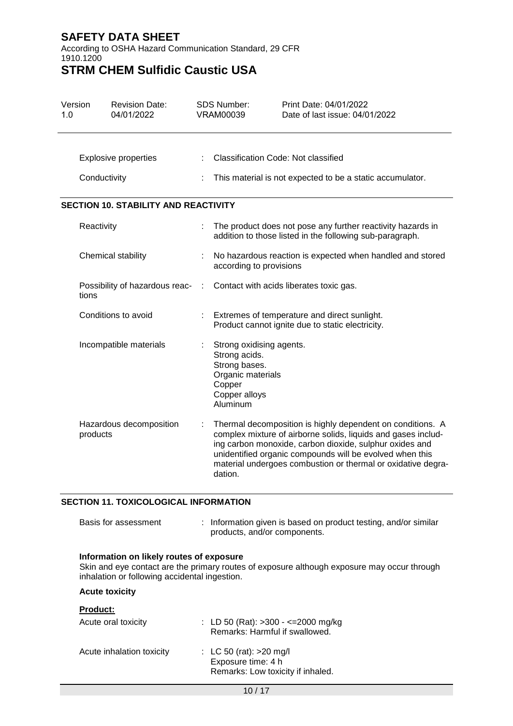According to OSHA Hazard Communication Standard, 29 CFR 1910.1200

# **STRM CHEM Sulfidic Caustic USA**

| Version<br>1.0 | <b>Revision Date:</b><br>04/01/2022         |  | <b>SDS Number:</b><br>VRAM00039                                                                                        | Print Date: 04/01/2022<br>Date of last issue: 04/01/2022                                                                                                                                                                                                                                                           |
|----------------|---------------------------------------------|--|------------------------------------------------------------------------------------------------------------------------|--------------------------------------------------------------------------------------------------------------------------------------------------------------------------------------------------------------------------------------------------------------------------------------------------------------------|
|                | <b>Explosive properties</b>                 |  | <b>Classification Code: Not classified</b>                                                                             |                                                                                                                                                                                                                                                                                                                    |
|                | Conductivity                                |  |                                                                                                                        | This material is not expected to be a static accumulator.                                                                                                                                                                                                                                                          |
|                | <b>SECTION 10. STABILITY AND REACTIVITY</b> |  |                                                                                                                        |                                                                                                                                                                                                                                                                                                                    |
|                | Reactivity                                  |  |                                                                                                                        | The product does not pose any further reactivity hazards in<br>addition to those listed in the following sub-paragraph.                                                                                                                                                                                            |
|                | Chemical stability                          |  | according to provisions                                                                                                | No hazardous reaction is expected when handled and stored                                                                                                                                                                                                                                                          |
|                | Possibility of hazardous reac-<br>tions     |  |                                                                                                                        | Contact with acids liberates toxic gas.                                                                                                                                                                                                                                                                            |
|                | Conditions to avoid                         |  |                                                                                                                        | Extremes of temperature and direct sunlight.<br>Product cannot ignite due to static electricity.                                                                                                                                                                                                                   |
|                | Incompatible materials                      |  | Strong oxidising agents.<br>Strong acids.<br>Strong bases.<br>Organic materials<br>Copper<br>Copper alloys<br>Aluminum |                                                                                                                                                                                                                                                                                                                    |
|                | Hazardous decomposition<br>products         |  | dation.                                                                                                                | Thermal decomposition is highly dependent on conditions. A<br>complex mixture of airborne solids, liquids and gases includ-<br>ing carbon monoxide, carbon dioxide, sulphur oxides and<br>unidentified organic compounds will be evolved when this<br>material undergoes combustion or thermal or oxidative degra- |

### **SECTION 11. TOXICOLOGICAL INFORMATION**

| Basis for assessment | : Information given is based on product testing, and/or similar |
|----------------------|-----------------------------------------------------------------|
|                      | products, and/or components.                                    |

### **Information on likely routes of exposure**

Skin and eye contact are the primary routes of exposure although exposure may occur through inhalation or following accidental ingestion.

### **Acute toxicity**

#### **Product:**

| Acute oral toxicity       | : LD 50 (Rat): $>300 - \le 2000$ mg/kg<br>Remarks: Harmful if swallowed.             |
|---------------------------|--------------------------------------------------------------------------------------|
| Acute inhalation toxicity | : LC 50 (rat): $>20$ mg/l<br>Exposure time: 4 h<br>Remarks: Low toxicity if inhaled. |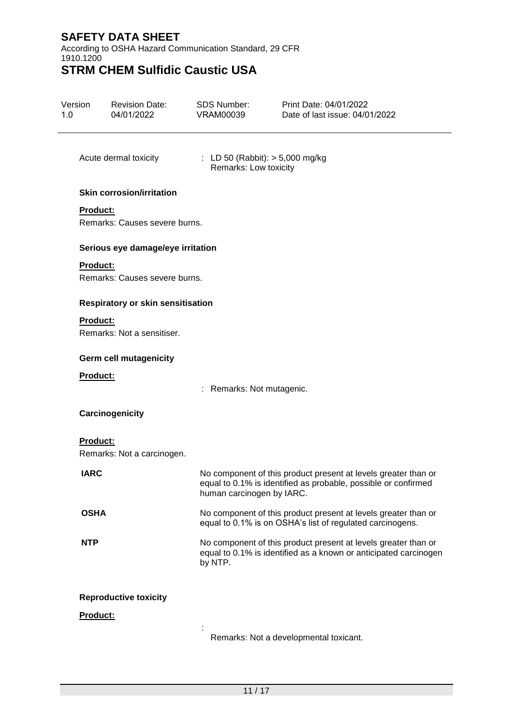According to OSHA Hazard Communication Standard, 29 CFR 1910.1200

| Version<br>1.0  | <b>Revision Date:</b><br>04/01/2022              | <b>SDS Number:</b><br><b>VRAM00039</b>                     | Print Date: 04/01/2022<br>Date of last issue: 04/01/2022                                                                           |
|-----------------|--------------------------------------------------|------------------------------------------------------------|------------------------------------------------------------------------------------------------------------------------------------|
|                 | Acute dermal toxicity                            | : LD 50 (Rabbit): $> 5,000$ mg/kg<br>Remarks: Low toxicity |                                                                                                                                    |
|                 | <b>Skin corrosion/irritation</b>                 |                                                            |                                                                                                                                    |
| <b>Product:</b> | Remarks: Causes severe burns.                    |                                                            |                                                                                                                                    |
|                 | Serious eye damage/eye irritation                |                                                            |                                                                                                                                    |
|                 | <b>Product:</b><br>Remarks: Causes severe burns. |                                                            |                                                                                                                                    |
|                 | <b>Respiratory or skin sensitisation</b>         |                                                            |                                                                                                                                    |
|                 | Product:                                         |                                                            |                                                                                                                                    |
|                 | Remarks: Not a sensitiser.                       |                                                            |                                                                                                                                    |
|                 | <b>Germ cell mutagenicity</b>                    |                                                            |                                                                                                                                    |
|                 | Product:                                         | : Remarks: Not mutagenic.                                  |                                                                                                                                    |
|                 | Carcinogenicity                                  |                                                            |                                                                                                                                    |
| Product:        | Remarks: Not a carcinogen.                       |                                                            |                                                                                                                                    |
| <b>IARC</b>     |                                                  | human carcinogen by IARC.                                  | No component of this product present at levels greater than or<br>equal to 0.1% is identified as probable, possible or confirmed   |
| <b>OSHA</b>     |                                                  |                                                            | No component of this product present at levels greater than or<br>equal to 0.1% is on OSHA's list of regulated carcinogens.        |
| <b>NTP</b>      |                                                  | by NTP.                                                    | No component of this product present at levels greater than or<br>equal to 0.1% is identified as a known or anticipated carcinogen |
|                 | <b>Reproductive toxicity</b>                     |                                                            |                                                                                                                                    |
|                 | Product:                                         |                                                            |                                                                                                                                    |
|                 |                                                  |                                                            | Remarks: Not a developmental toxicant.                                                                                             |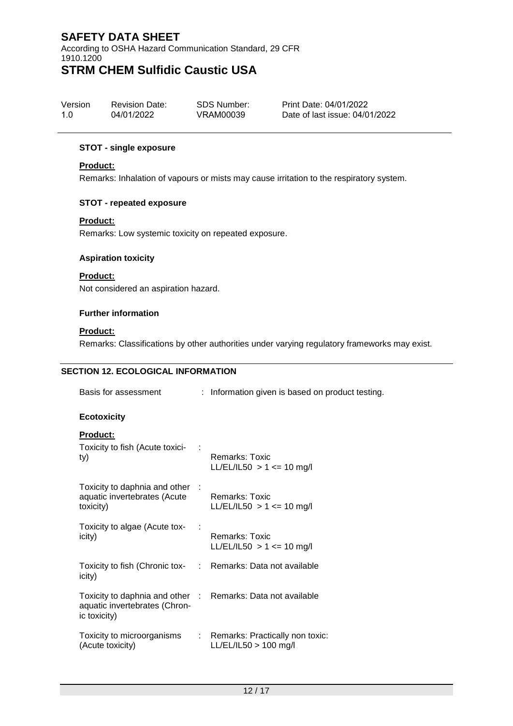According to OSHA Hazard Communication Standard, 29 CFR 1910.1200 **STRM CHEM Sulfidic Caustic USA**

| Version | <b>Revision Date:</b> | SDS Number: | Print Date: 04/01/2022         |
|---------|-----------------------|-------------|--------------------------------|
| 1.0     | 04/01/2022            | VRAM00039   | Date of last issue: 04/01/2022 |

#### **STOT - single exposure**

## **Product:**

Remarks: Inhalation of vapours or mists may cause irritation to the respiratory system.

### **STOT - repeated exposure**

#### **Product:**

Remarks: Low systemic toxicity on repeated exposure.

#### **Aspiration toxicity**

## **Product:**

Not considered an aspiration hazard.

#### **Further information**

## **Product:**

Remarks: Classifications by other authorities under varying regulatory frameworks may exist.

### **SECTION 12. ECOLOGICAL INFORMATION**

| Basis for assessment                                                                                         | : Information given is based on product testing.                                      |
|--------------------------------------------------------------------------------------------------------------|---------------------------------------------------------------------------------------|
| <b>Ecotoxicity</b>                                                                                           |                                                                                       |
| <b>Product:</b><br>Toxicity to fish (Acute toxici- :<br>ty)                                                  | Remarks: Toxic<br>$LL/EL/IL50 > 1 \le 10$ mg/l                                        |
| Toxicity to daphnia and other :<br>aquatic invertebrates (Acute<br>toxicity)                                 | Remarks: Toxic<br>LL/EL/IL50 > 1 <= 10 mg/l                                           |
| Toxicity to algae (Acute tox-<br>icity)                                                                      | Remarks: Toxic<br>LL/EL/IL50 > 1 <= 10 mg/l                                           |
| Toxicity to fish (Chronic tox- : Remarks: Data not available<br>icity)                                       |                                                                                       |
| Toxicity to daphnia and other : Remarks: Data not available<br>aquatic invertebrates (Chron-<br>ic toxicity) |                                                                                       |
| (Acute toxicity)                                                                                             | Toxicity to microorganisms : Remarks: Practically non toxic:<br>LL/EL/IL50 > 100 mg/l |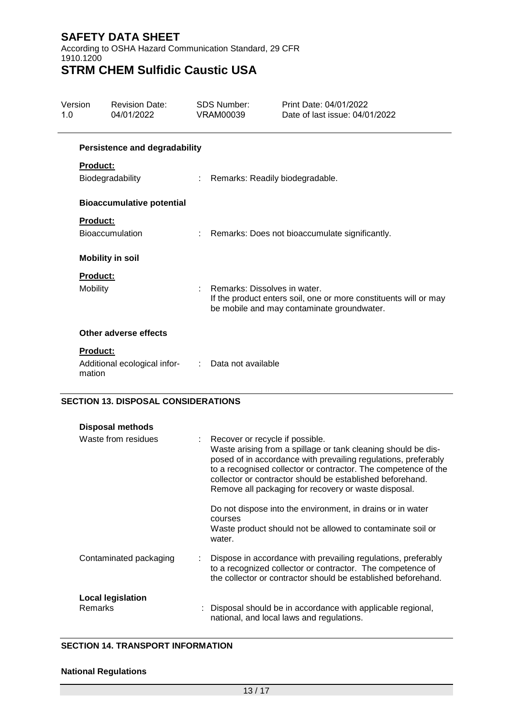According to OSHA Hazard Communication Standard, 29 CFR 1910.1200 **STRM CHEM Sulfidic Caustic USA**

Version 1.0 Revision Date: 04/01/2022 SDS Number: VRAM00039 Print Date: 04/01/2022 Date of last issue: 04/01/2022 **Persistence and degradability Product:** Biodegradability : Remarks: Readily biodegradable. **Bioaccumulative potential Product:** Bioaccumulation : Remarks: Does not bioaccumulate significantly. **Mobility in soil Product:** Mobility **: Remarks: Dissolves in water.** If the product enters soil, one or more constituents will or may be mobile and may contaminate groundwater. **Other adverse effects Product:** Additional ecological infor-: Data not available mation

## **SECTION 13. DISPOSAL CONSIDERATIONS**

| Disposal methods                    |                                                                                                                                                                                                                                                                                                                                                                                                                           |
|-------------------------------------|---------------------------------------------------------------------------------------------------------------------------------------------------------------------------------------------------------------------------------------------------------------------------------------------------------------------------------------------------------------------------------------------------------------------------|
| Waste from residues                 | : Recover or recycle if possible.<br>Waste arising from a spillage or tank cleaning should be dis-<br>posed of in accordance with prevailing regulations, preferably<br>to a recognised collector or contractor. The competence of the<br>collector or contractor should be established beforehand.<br>Remove all packaging for recovery or waste disposal.<br>Do not dispose into the environment, in drains or in water |
|                                     | courses<br>Waste product should not be allowed to contaminate soil or<br>water.                                                                                                                                                                                                                                                                                                                                           |
| Contaminated packaging              | Dispose in accordance with prevailing regulations, preferably<br>to a recognized collector or contractor. The competence of<br>the collector or contractor should be established beforehand.                                                                                                                                                                                                                              |
| <b>Local legislation</b><br>Remarks | : Disposal should be in accordance with applicable regional,<br>national, and local laws and regulations.                                                                                                                                                                                                                                                                                                                 |

### **SECTION 14. TRANSPORT INFORMATION**

#### **National Regulations**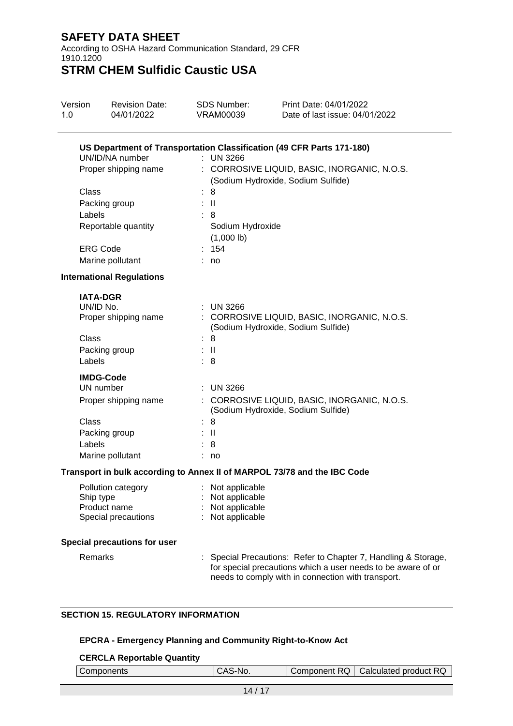According to OSHA Hazard Communication Standard, 29 CFR 1910.1200

**STRM CHEM Sulfidic Caustic USA**

| Version<br>1.0                                  | <b>Revision Date:</b><br>04/01/2022                                                                 | <b>SDS Number:</b><br>VRAM00039                                                        | Print Date: 04/01/2022<br>Date of last issue: 04/01/2022                                                                                                    |
|-------------------------------------------------|-----------------------------------------------------------------------------------------------------|----------------------------------------------------------------------------------------|-------------------------------------------------------------------------------------------------------------------------------------------------------------|
| Class<br>Labels<br><b>ERG Code</b>              | UN/ID/NA number<br>Proper shipping name<br>Packing group<br>Reportable quantity<br>Marine pollutant | $:$ UN 3266<br>8<br>$\mathbf{H}$<br>8<br>Sodium Hydroxide<br>$(1,000$ lb)<br>154<br>no | US Department of Transportation Classification (49 CFR Parts 171-180)<br>: CORROSIVE LIQUID, BASIC, INORGANIC, N.O.S.<br>(Sodium Hydroxide, Sodium Sulfide) |
|                                                 | <b>International Regulations</b>                                                                    |                                                                                        |                                                                                                                                                             |
| <b>IATA-DGR</b><br>UN/ID No.<br>Class<br>Labels | Proper shipping name<br>Packing group                                                               | $:$ UN 3266<br>: 8<br>$\mathbb{R}^{\mathbb{N}}$<br>: 8                                 | : CORROSIVE LIQUID, BASIC, INORGANIC, N.O.S.<br>(Sodium Hydroxide, Sodium Sulfide)                                                                          |
| Class<br>Labels                                 | <b>IMDG-Code</b><br>UN number<br>Proper shipping name<br>Packing group<br>Marine pollutant          | <b>UN 3266</b><br>8<br>: II<br>8<br>: no                                               | CORROSIVE LIQUID, BASIC, INORGANIC, N.O.S.<br>(Sodium Hydroxide, Sodium Sulfide)                                                                            |
|                                                 |                                                                                                     |                                                                                        | Transport in bulk according to Annex II of MARPOL 73/78 and the IBC Code                                                                                    |
| Ship type                                       | Pollution category<br>Product name<br>Special precautions<br>Special precautions for user           | : Not applicable<br>: Not applicable<br>: Not applicable<br>: Not applicable           |                                                                                                                                                             |

Remarks : Special Precautions: Refer to Chapter 7, Handling & Storage, for special precautions which a user needs to be aware of or needs to comply with in connection with transport.

## **SECTION 15. REGULATORY INFORMATION**

### **EPCRA - Emergency Planning and Community Right-to-Know Act**

### **CERCLA Reportable Quantity**

| Components | CAS-<br>`-No. | ∶RQ I<br>Component | Calculated product RQ |
|------------|---------------|--------------------|-----------------------|
|------------|---------------|--------------------|-----------------------|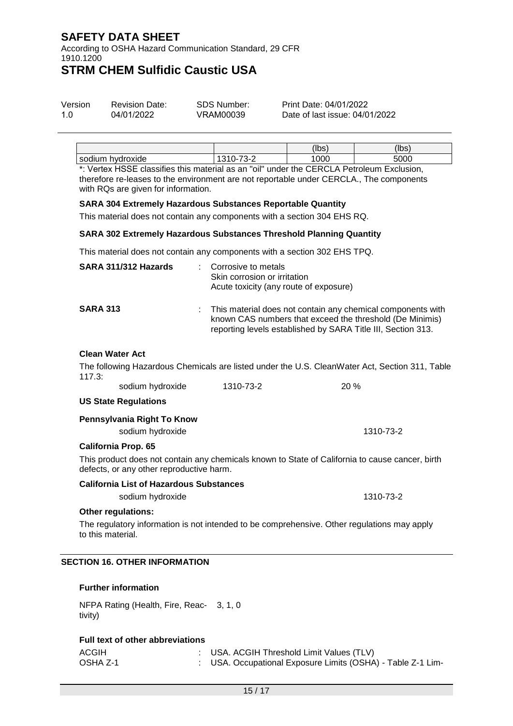According to OSHA Hazard Communication Standard, 29 CFR 1910.1200

# **STRM CHEM Sulfidic Caustic USA**

| Version | <b>Revision Date:</b> | SDS Number: | Print Date: 04/01/2022         |
|---------|-----------------------|-------------|--------------------------------|
| 1.0     | 04/01/2022            | VRAM00039   | Date of last issue: 04/01/2022 |

|                                                                                               |   | (lbs | (lbs |
|-----------------------------------------------------------------------------------------------|---|------|------|
| sodium hvdroxide                                                                              | . | 000  | 5000 |
| *: Menter: HOOE alaasifise this meeterial as an Italii coolantha OEDOLA Datuslarum Errebraica |   |      |      |

\*: Vertex HSSE classifies this material as an "oil" under the CERCLA Petroleum Exclusion, therefore re-leases to the environment are not reportable under CERCLA., The components with RQs are given for information.

#### **SARA 304 Extremely Hazardous Substances Reportable Quantity**

This material does not contain any components with a section 304 EHS RQ.

#### **SARA 302 Extremely Hazardous Substances Threshold Planning Quantity**

This material does not contain any components with a section 302 EHS TPQ.

| SARA 311/312 Hazards | × 1 | Corrosive to metals<br>Skin corrosion or irritation<br>Acute toxicity (any route of exposure)                                                                                           |
|----------------------|-----|-----------------------------------------------------------------------------------------------------------------------------------------------------------------------------------------|
| <b>SARA 313</b>      |     | This material does not contain any chemical components with<br>known CAS numbers that exceed the threshold (De Minimis)<br>reporting levels established by SARA Title III, Section 313. |

## **Clean Water Act**

The following Hazardous Chemicals are listed under the U.S. CleanWater Act, Section 311, Table 117.3:

| sodium hydroxide | 1310-73-2 | 20% |
|------------------|-----------|-----|
|------------------|-----------|-----|

#### **US State Regulations**

**Pennsylvania Right To Know**

|  | sodium hydroxide | 1310-73-2 |
|--|------------------|-----------|
|  |                  |           |

#### **California Prop. 65**

This product does not contain any chemicals known to State of California to cause cancer, birth defects, or any other reproductive harm.

#### **California List of Hazardous Substances**

sodium hydroxide 1310-73-2

#### **Other regulations:**

The regulatory information is not intended to be comprehensive. Other regulations may apply to this material.

## **SECTION 16. OTHER INFORMATION**

#### **Further information**

NFPA Rating (Health, Fire, Reac-3, 1, 0 tivity)

#### **Full text of other abbreviations**

| ACGIH    | : USA. ACGIH Threshold Limit Values (TLV)                   |
|----------|-------------------------------------------------------------|
| OSHA Z-1 | : USA. Occupational Exposure Limits (OSHA) - Table Z-1 Lim- |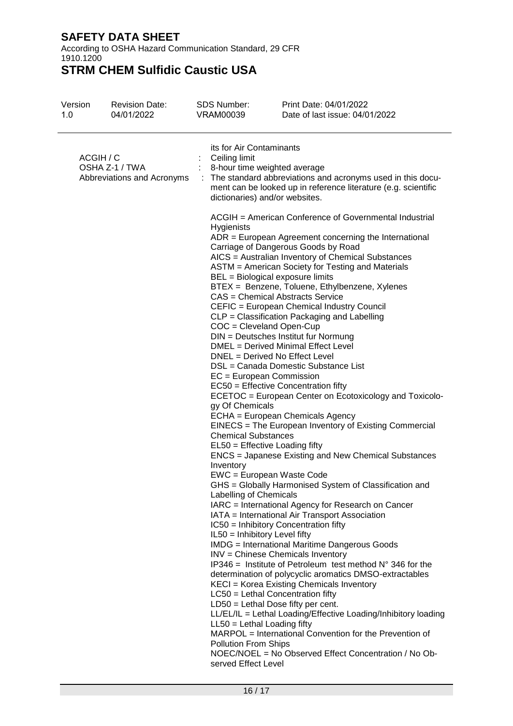According to OSHA Hazard Communication Standard, 29 CFR 1910.1200

| Version<br>1.0 | <b>Revision Date:</b><br>04/01/2022          | <b>SDS Number:</b><br>VRAM00039                                                                                                                                                                                                                                                                                            | Print Date: 04/01/2022<br>Date of last issue: 04/01/2022                                                                                                                                                                                                                                                                                                                                                                                                                                                                                                                                                                                                                                                                                                                                                                                                                                                                                                                                                                                                                                                                                                                                                                                                                                                                                                                                                                                                                                                                                                                                                                                                                                                 |
|----------------|----------------------------------------------|----------------------------------------------------------------------------------------------------------------------------------------------------------------------------------------------------------------------------------------------------------------------------------------------------------------------------|----------------------------------------------------------------------------------------------------------------------------------------------------------------------------------------------------------------------------------------------------------------------------------------------------------------------------------------------------------------------------------------------------------------------------------------------------------------------------------------------------------------------------------------------------------------------------------------------------------------------------------------------------------------------------------------------------------------------------------------------------------------------------------------------------------------------------------------------------------------------------------------------------------------------------------------------------------------------------------------------------------------------------------------------------------------------------------------------------------------------------------------------------------------------------------------------------------------------------------------------------------------------------------------------------------------------------------------------------------------------------------------------------------------------------------------------------------------------------------------------------------------------------------------------------------------------------------------------------------------------------------------------------------------------------------------------------------|
| ACGIH / C      | OSHA Z-1 / TWA<br>Abbreviations and Acronyms | its for Air Contaminants<br>Ceiling limit<br>8-hour time weighted average<br>dictionaries) and/or websites.                                                                                                                                                                                                                | : The standard abbreviations and acronyms used in this docu-<br>ment can be looked up in reference literature (e.g. scientific                                                                                                                                                                                                                                                                                                                                                                                                                                                                                                                                                                                                                                                                                                                                                                                                                                                                                                                                                                                                                                                                                                                                                                                                                                                                                                                                                                                                                                                                                                                                                                           |
|                |                                              | Hygienists<br>$COC = C level$ and Open-Cup<br>$EC = European Commission$<br>gy Of Chemicals<br><b>Chemical Substances</b><br>EL50 = Effective Loading fifty<br>Inventory<br>Labelling of Chemicals<br>IL50 = Inhibitory Level fifty<br>$LL50 = Lethal$ Loading fifty<br><b>Pollution From Ships</b><br>served Effect Level | ACGIH = American Conference of Governmental Industrial<br>ADR = European Agreement concerning the International<br>Carriage of Dangerous Goods by Road<br>AICS = Australian Inventory of Chemical Substances<br>ASTM = American Society for Testing and Materials<br>BEL = Biological exposure limits<br>BTEX = Benzene, Toluene, Ethylbenzene, Xylenes<br>CAS = Chemical Abstracts Service<br>CEFIC = European Chemical Industry Council<br>CLP = Classification Packaging and Labelling<br>DIN = Deutsches Institut fur Normung<br>DMEL = Derived Minimal Effect Level<br>DNEL = Derived No Effect Level<br>DSL = Canada Domestic Substance List<br>EC50 = Effective Concentration fifty<br>ECETOC = European Center on Ecotoxicology and Toxicolo-<br>ECHA = European Chemicals Agency<br>EINECS = The European Inventory of Existing Commercial<br><b>ENCS</b> = Japanese Existing and New Chemical Substances<br>EWC = European Waste Code<br>GHS = Globally Harmonised System of Classification and<br>IARC = International Agency for Research on Cancer<br>IATA = International Air Transport Association<br>IC50 = Inhibitory Concentration fifty<br><b>IMDG</b> = International Maritime Dangerous Goods<br>INV = Chinese Chemicals Inventory<br>IP346 = Institute of Petroleum test method $N^{\circ}$ 346 for the<br>determination of polycyclic aromatics DMSO-extractables<br>KECI = Korea Existing Chemicals Inventory<br>LC50 = Lethal Concentration fifty<br>$LD50 = Lethal Does fifty per cent.$<br>LL/EL/IL = Lethal Loading/Effective Loading/Inhibitory loading<br>MARPOL = International Convention for the Prevention of<br>NOEC/NOEL = No Observed Effect Concentration / No Ob- |